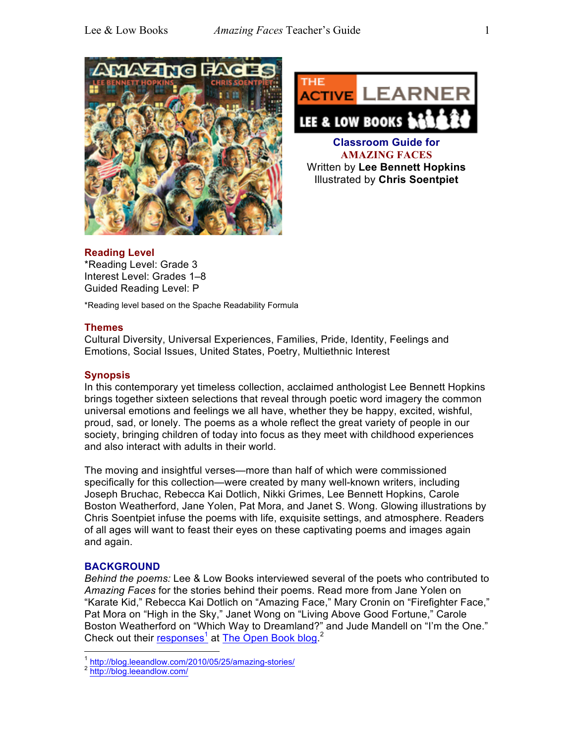



**Classroom Guide for AMAZING FACES** Written by **Lee Bennett Hopkins** Illustrated by **Chris Soentpiet**

# **Reading Level**

\*Reading Level: Grade 3 Interest Level: Grades 1–8 Guided Reading Level: P

\*Reading level based on the Spache Readability Formula

## **Themes**

Cultural Diversity, Universal Experiences, Families, Pride, Identity, Feelings and Emotions, Social Issues, United States, Poetry, Multiethnic Interest

# **Synopsis**

In this contemporary yet timeless collection, acclaimed anthologist Lee Bennett Hopkins brings together sixteen selections that reveal through poetic word imagery the common universal emotions and feelings we all have, whether they be happy, excited, wishful, proud, sad, or lonely. The poems as a whole reflect the great variety of people in our society, bringing children of today into focus as they meet with childhood experiences and also interact with adults in their world.

The moving and insightful verses—more than half of which were commissioned specifically for this collection—were created by many well-known writers, including Joseph Bruchac, Rebecca Kai Dotlich, Nikki Grimes, Lee Bennett Hopkins, Carole Boston Weatherford, Jane Yolen, Pat Mora, and Janet S. Wong. Glowing illustrations by Chris Soentpiet infuse the poems with life, exquisite settings, and atmosphere. Readers of all ages will want to feast their eyes on these captivating poems and images again and again.

# **BACKGROUND**

*Behind the poems:* Lee & Low Books interviewed several of the poets who contributed to *Amazing Faces* for the stories behind their poems. Read more from Jane Yolen on "Karate Kid," Rebecca Kai Dotlich on "Amazing Face," Mary Cronin on "Firefighter Face," Pat Mora on "High in the Sky," Janet Wong on "Living Above Good Fortune," Carole Boston Weatherford on "Which Way to Dreamland?" and Jude Mandell on "I'm the One." Check out their responses<sup>1</sup> at The Open Book blog.<sup>2</sup>

<sup>1</sup> http://blog.leeandlow.com/2010/05/25/amazing-stories/<br><sup>2</sup> http://blog.leeandlow.com/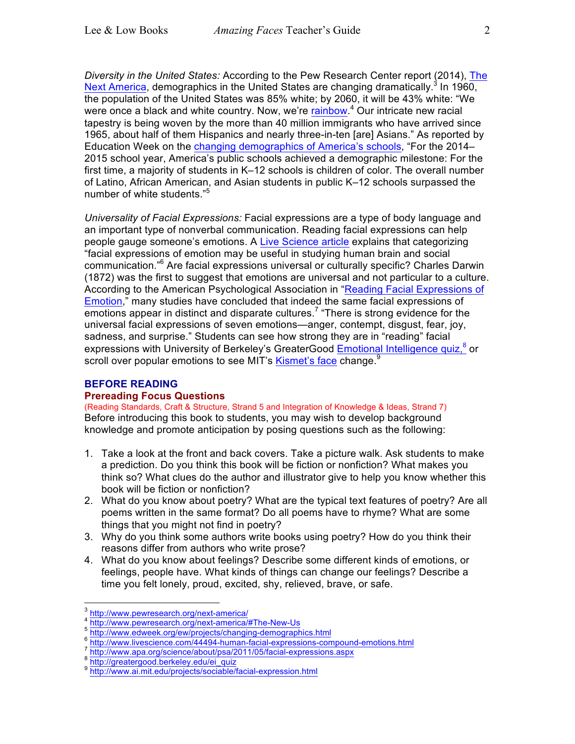*Diversity in the United States:* According to the Pew Research Center report (2014), The Next America, demographics in the United States are changing dramatically.<sup>3</sup> In 1960, the population of the United States was 85% white; by 2060, it will be 43% white: "We were once a black and white country. Now, we're **rainbow**.<sup>4</sup> Our intricate new racial tapestry is being woven by the more than 40 million immigrants who have arrived since 1965, about half of them Hispanics and nearly three-in-ten [are] Asians." As reported by Education Week on the changing demographics of America's schools, "For the 2014– 2015 school year, America's public schools achieved a demographic milestone: For the first time, a majority of students in K–12 schools is children of color. The overall number of Latino, African American, and Asian students in public K–12 schools surpassed the number of white students."<sup>5</sup>

*Universality of Facial Expressions:* Facial expressions are a type of body language and an important type of nonverbal communication. Reading facial expressions can help people gauge someone's emotions. A Live Science article explains that categorizing "facial expressions of emotion may be useful in studying human brain and social communication."6 Are facial expressions universal or culturally specific? Charles Darwin (1872) was the first to suggest that emotions are universal and not particular to a culture. According to the American Psychological Association in "Reading Facial Expressions of Emotion," many studies have concluded that indeed the same facial expressions of  $\overline{\rm{emotions}}$  appear in distinct and disparate cultures.<sup>7</sup> "There is strong evidence for the universal facial expressions of seven emotions—anger, contempt, disgust, fear, joy, sadness, and surprise." Students can see how strong they are in "reading" facial expressions with University of Berkeley's GreaterGood **Emotional Intelligence quiz**,<sup>8</sup> or scroll over popular emotions to see MIT's Kismet's face change.<sup>9</sup>

#### **BEFORE READING**

#### **Prereading Focus Questions**

(Reading Standards, Craft & Structure, Strand 5 and Integration of Knowledge & Ideas, Strand 7) Before introducing this book to students, you may wish to develop background knowledge and promote anticipation by posing questions such as the following:

- 1. Take a look at the front and back covers. Take a picture walk. Ask students to make a prediction. Do you think this book will be fiction or nonfiction? What makes you think so? What clues do the author and illustrator give to help you know whether this book will be fiction or nonfiction?
- 2. What do you know about poetry? What are the typical text features of poetry? Are all poems written in the same format? Do all poems have to rhyme? What are some things that you might not find in poetry?
- 3. Why do you think some authors write books using poetry? How do you think their reasons differ from authors who write prose?
- 4. What do you know about feelings? Describe some different kinds of emotions, or feelings, people have. What kinds of things can change our feelings? Describe a time you felt lonely, proud, excited, shy, relieved, brave, or safe.

<sup>&</sup>lt;sup>3</sup><br>
http://www.pewresearch.org/next-america/#The-New-Us<br>
<sup>5</sup><br>
http://www.edweek.org/ew/projects/changing-demographics.html<br>
<sup>6</sup><br>
http://www.livescience.com/44494-human-facial-expressions-compound-emotions.html<br>
<sup>7</sup><br>
http: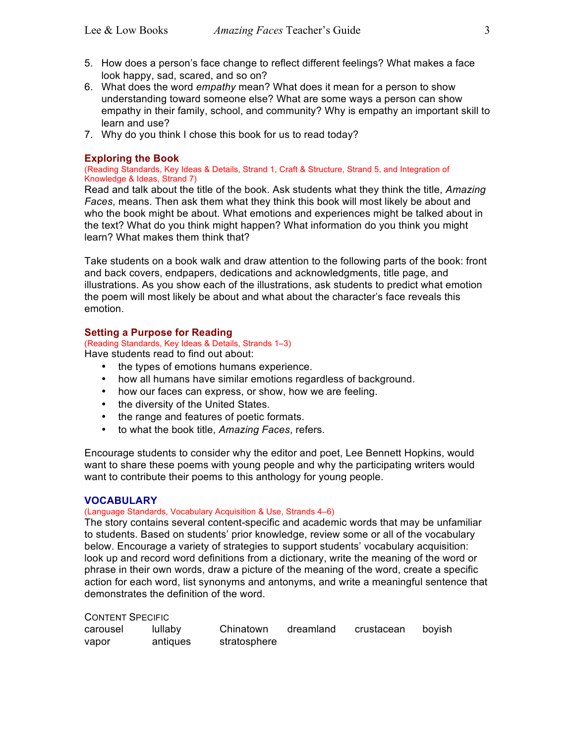- 5. How does a person's face change to reflect different feelings? What makes a face look happy, sad, scared, and so on?
- 6. What does the word *empathy* mean? What does it mean for a person to show understanding toward someone else? What are some ways a person can show empathy in their family, school, and community? Why is empathy an important skill to learn and use?
- 7. Why do you think I chose this book for us to read today?

## **Exploring the Book**

(Reading Standards, Key Ideas & Details, Strand 1, Craft & Structure, Strand 5, and Integration of Knowledge & Ideas, Strand 7)

Read and talk about the title of the book. Ask students what they think the title, *Amazing Faces*, means. Then ask them what they think this book will most likely be about and who the book might be about. What emotions and experiences might be talked about in the text? What do you think might happen? What information do you think you might learn? What makes them think that?

Take students on a book walk and draw attention to the following parts of the book: front and back covers, endpapers, dedications and acknowledgments, title page, and illustrations. As you show each of the illustrations, ask students to predict what emotion the poem will most likely be about and what about the character's face reveals this emotion.

## **Setting a Purpose for Reading**

(Reading Standards, Key Ideas & Details, Strands 1–3)

Have students read to find out about:

- the types of emotions humans experience.
- how all humans have similar emotions regardless of background.
- how our faces can express, or show, how we are feeling.
- the diversity of the United States.
- the range and features of poetic formats.
- to what the book title, *Amazing Faces*, refers.

Encourage students to consider why the editor and poet, Lee Bennett Hopkins, would want to share these poems with young people and why the participating writers would want to contribute their poems to this anthology for young people.

## **VOCABULARY**

## (Language Standards, Vocabulary Acquisition & Use, Strands 4–6)

The story contains several content-specific and academic words that may be unfamiliar to students. Based on students' prior knowledge, review some or all of the vocabulary below. Encourage a variety of strategies to support students' vocabulary acquisition: look up and record word definitions from a dictionary, write the meaning of the word or phrase in their own words, draw a picture of the meaning of the word, create a specific action for each word, list synonyms and antonyms, and write a meaningful sentence that demonstrates the definition of the word.

| <b>CONTENT SPECIFIC</b> |  |
|-------------------------|--|
|-------------------------|--|

| carousel | lullaby  | Chinatown    | dreamland | crustacean | bovish |
|----------|----------|--------------|-----------|------------|--------|
| vapor    | antiques | stratosphere |           |            |        |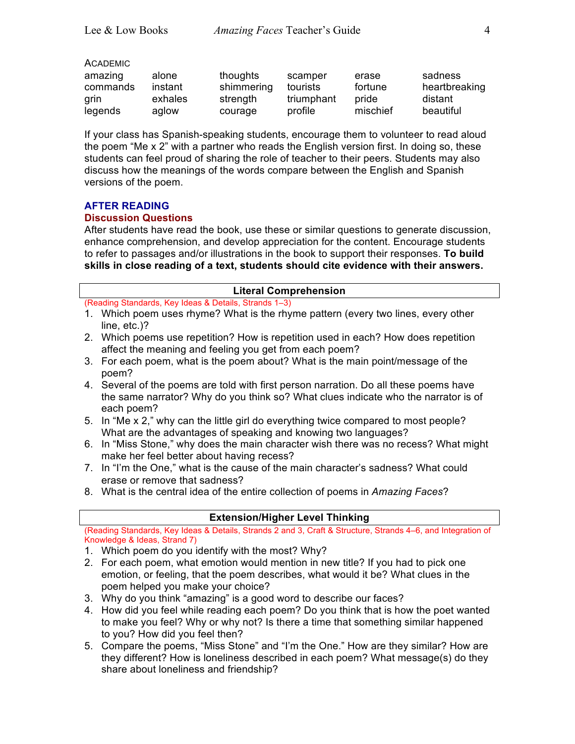| <b>ACADEMIC</b> |
|-----------------|
|-----------------|

| amazing  | alone   | thoughts   | scamper    | erase    | sadness       |
|----------|---------|------------|------------|----------|---------------|
| commands | instant | shimmering | tourists   | fortune  | heartbreaking |
| grin     | exhales | strength   | triumphant | pride    | distant       |
| legends  | aglow   | courage    | profile    | mischief | beautiful     |

If your class has Spanish-speaking students, encourage them to volunteer to read aloud the poem "Me x 2" with a partner who reads the English version first. In doing so, these students can feel proud of sharing the role of teacher to their peers. Students may also discuss how the meanings of the words compare between the English and Spanish versions of the poem.

## **AFTER READING**

## **Discussion Questions**

After students have read the book, use these or similar questions to generate discussion, enhance comprehension, and develop appreciation for the content. Encourage students to refer to passages and/or illustrations in the book to support their responses. **To build skills in close reading of a text, students should cite evidence with their answers.**

| <b>Literal Comprehension</b>           |                                                                                                                                                                                           |  |
|----------------------------------------|-------------------------------------------------------------------------------------------------------------------------------------------------------------------------------------------|--|
|                                        | (Reading Standards, Key Ideas & Details, Strands 1-3)                                                                                                                                     |  |
|                                        | 1. Which poem uses rhyme? What is the rhyme pattern (every two lines, every other<br>line, etc.)?                                                                                         |  |
|                                        | 2. Which poems use repetition? How is repetition used in each? How does repetition<br>affect the meaning and feeling you get from each poem?                                              |  |
|                                        | 3. For each poem, what is the poem about? What is the main point/message of the<br>poem?                                                                                                  |  |
|                                        | 4. Several of the poems are told with first person narration. Do all these poems have<br>the same narrator? Why do you think so? What clues indicate who the narrator is of<br>each poem? |  |
|                                        | 5. In "Me x 2," why can the little girl do everything twice compared to most people?<br>What are the advantages of speaking and knowing two languages?                                    |  |
|                                        | 6. In "Miss Stone," why does the main character wish there was no recess? What might<br>make her feel better about having recess?                                                         |  |
|                                        | 7. In "I'm the One," what is the cause of the main character's sadness? What could<br>erase or remove that sadness?                                                                       |  |
|                                        | 8. What is the central idea of the entire collection of poems in Amazing Faces?                                                                                                           |  |
| <b>Extension/Higher Level Thinking</b> |                                                                                                                                                                                           |  |
|                                        | (Reading Standards, Key Ideas & Details, Strands 2 and 3, Craft & Structure, Strands 4-6, and Integration of                                                                              |  |
|                                        | Knowledge & Ideas, Strand 7)                                                                                                                                                              |  |
|                                        | 1. Which poem do you identify with the most? Why?                                                                                                                                         |  |

- 2. For each poem, what emotion would mention in new title? If you had to pick one emotion, or feeling, that the poem describes, what would it be? What clues in the poem helped you make your choice?
- 3. Why do you think "amazing" is a good word to describe our faces?
- 4. How did you feel while reading each poem? Do you think that is how the poet wanted to make you feel? Why or why not? Is there a time that something similar happened to you? How did you feel then?
- 5. Compare the poems, "Miss Stone" and "I'm the One." How are they similar? How are they different? How is loneliness described in each poem? What message(s) do they share about loneliness and friendship?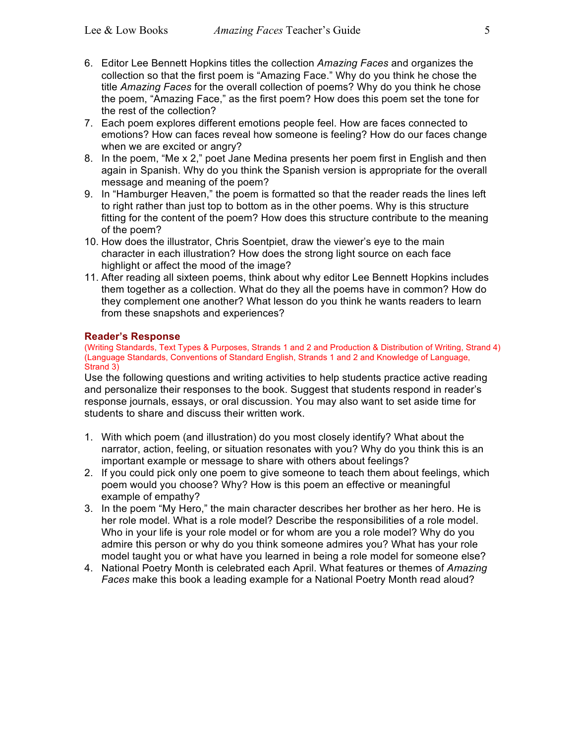- 6. Editor Lee Bennett Hopkins titles the collection *Amazing Faces* and organizes the collection so that the first poem is "Amazing Face." Why do you think he chose the title *Amazing Faces* for the overall collection of poems? Why do you think he chose the poem, "Amazing Face," as the first poem? How does this poem set the tone for the rest of the collection?
- 7. Each poem explores different emotions people feel. How are faces connected to emotions? How can faces reveal how someone is feeling? How do our faces change when we are excited or angry?
- 8. In the poem, "Me x 2," poet Jane Medina presents her poem first in English and then again in Spanish. Why do you think the Spanish version is appropriate for the overall message and meaning of the poem?
- 9. In "Hamburger Heaven," the poem is formatted so that the reader reads the lines left to right rather than just top to bottom as in the other poems. Why is this structure fitting for the content of the poem? How does this structure contribute to the meaning of the poem?
- 10. How does the illustrator, Chris Soentpiet, draw the viewer's eye to the main character in each illustration? How does the strong light source on each face highlight or affect the mood of the image?
- 11. After reading all sixteen poems, think about why editor Lee Bennett Hopkins includes them together as a collection. What do they all the poems have in common? How do they complement one another? What lesson do you think he wants readers to learn from these snapshots and experiences?

## **Reader's Response**

(Writing Standards, Text Types & Purposes, Strands 1 and 2 and Production & Distribution of Writing, Strand 4) (Language Standards, Conventions of Standard English, Strands 1 and 2 and Knowledge of Language, Strand 3)

Use the following questions and writing activities to help students practice active reading and personalize their responses to the book. Suggest that students respond in reader's response journals, essays, or oral discussion. You may also want to set aside time for students to share and discuss their written work.

- 1. With which poem (and illustration) do you most closely identify? What about the narrator, action, feeling, or situation resonates with you? Why do you think this is an important example or message to share with others about feelings?
- 2. If you could pick only one poem to give someone to teach them about feelings, which poem would you choose? Why? How is this poem an effective or meaningful example of empathy?
- 3. In the poem "My Hero," the main character describes her brother as her hero. He is her role model. What is a role model? Describe the responsibilities of a role model. Who in your life is your role model or for whom are you a role model? Why do you admire this person or why do you think someone admires you? What has your role model taught you or what have you learned in being a role model for someone else?
- 4. National Poetry Month is celebrated each April. What features or themes of *Amazing Faces* make this book a leading example for a National Poetry Month read aloud?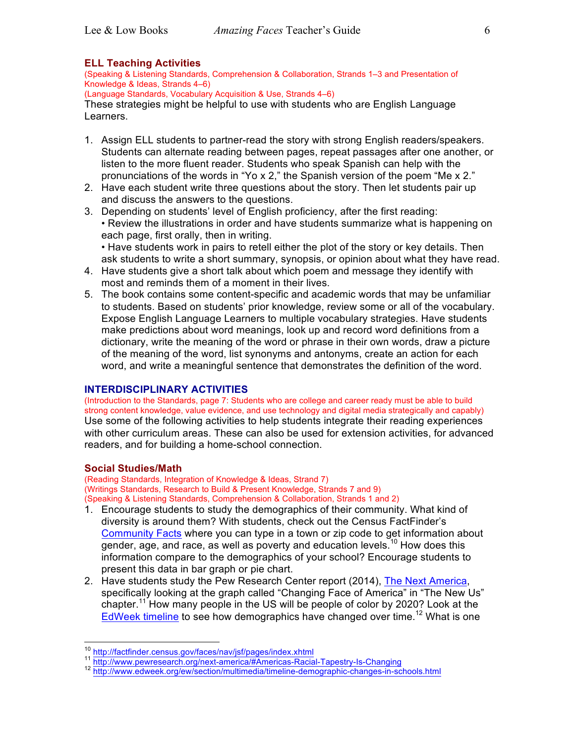## **ELL Teaching Activities**

(Speaking & Listening Standards, Comprehension & Collaboration, Strands 1–3 and Presentation of Knowledge & Ideas, Strands 4–6)

(Language Standards, Vocabulary Acquisition & Use, Strands 4–6)

These strategies might be helpful to use with students who are English Language Learners.

- 1. Assign ELL students to partner-read the story with strong English readers/speakers. Students can alternate reading between pages, repeat passages after one another, or listen to the more fluent reader. Students who speak Spanish can help with the pronunciations of the words in "Yo x 2," the Spanish version of the poem "Me x 2."
- 2. Have each student write three questions about the story. Then let students pair up and discuss the answers to the questions.
- 3. Depending on students' level of English proficiency, after the first reading: • Review the illustrations in order and have students summarize what is happening on each page, first orally, then in writing. • Have students work in pairs to retell either the plot of the story or key details. Then
- ask students to write a short summary, synopsis, or opinion about what they have read. 4. Have students give a short talk about which poem and message they identify with
- most and reminds them of a moment in their lives. 5. The book contains some content-specific and academic words that may be unfamiliar to students. Based on students' prior knowledge, review some or all of the vocabulary. Expose English Language Learners to multiple vocabulary strategies. Have students make predictions about word meanings, look up and record word definitions from a dictionary, write the meaning of the word or phrase in their own words, draw a picture of the meaning of the word, list synonyms and antonyms, create an action for each word, and write a meaningful sentence that demonstrates the definition of the word.

## **INTERDISCIPLINARY ACTIVITIES**

(Introduction to the Standards, page 7: Students who are college and career ready must be able to build strong content knowledge, value evidence, and use technology and digital media strategically and capably) Use some of the following activities to help students integrate their reading experiences with other curriculum areas. These can also be used for extension activities, for advanced readers, and for building a home-school connection.

## **Social Studies/Math**

(Reading Standards, Integration of Knowledge & Ideas, Strand 7) (Writings Standards, Research to Build & Present Knowledge, Strands 7 and 9) (Speaking & Listening Standards, Comprehension & Collaboration, Strands 1 and 2)

- 1. Encourage students to study the demographics of their community. What kind of diversity is around them? With students, check out the Census FactFinder's Community Facts where you can type in a town or zip code to get information about gender, age, and race, as well as poverty and education levels.<sup>10</sup> How does this information compare to the demographics of your school? Encourage students to present this data in bar graph or pie chart.
- 2. Have students study the Pew Research Center report (2014), The Next America, specifically looking at the graph called "Changing Face of America" in "The New Us" chapter.<sup>11</sup> How many people in the US will be people of color by 2020? Look at the EdWeek timeline to see how demographics have changed over time.<sup>12</sup> What is one

<sup>&</sup>lt;sup>10</sup> http://factfinder.census.gov/faces/nav/jsf/pages/index.xhtml<br><sup>11</sup> http://www.pewresearch.org/next-america/#Americas-Racial-Tapestry-Is-Changing<br><sup>12</sup> http://www.edweek.org/ew/section/multimedia/timeline-demographic-cha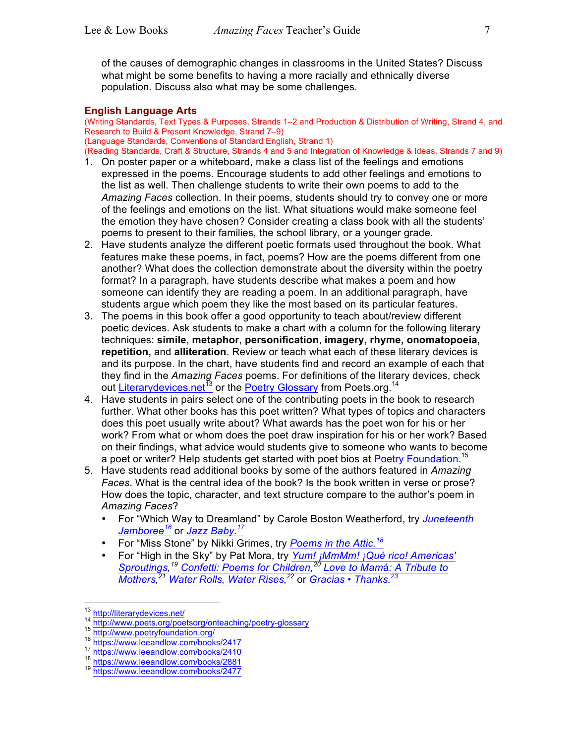of the causes of demographic changes in classrooms in the United States? Discuss what might be some benefits to having a more racially and ethnically diverse population. Discuss also what may be some challenges.

## **English Language Arts**

(Writing Standards, Text Types & Purposes, Strands 1–2 and Production & Distribution of Writing, Strand 4, and Research to Build & Present Knowledge, Strand 7–9) (Language Standards, Conventions of Standard English, Strand 1)

(Reading Standards, Craft & Structure, Strands 4 and 5 and Integration of Knowledge & Ideas, Strands 7 and 9)

- 1. On poster paper or a whiteboard, make a class list of the feelings and emotions expressed in the poems. Encourage students to add other feelings and emotions to the list as well. Then challenge students to write their own poems to add to the *Amazing Faces* collection. In their poems, students should try to convey one or more of the feelings and emotions on the list. What situations would make someone feel the emotion they have chosen? Consider creating a class book with all the students' poems to present to their families, the school library, or a younger grade.
- 2. Have students analyze the different poetic formats used throughout the book. What features make these poems, in fact, poems? How are the poems different from one another? What does the collection demonstrate about the diversity within the poetry format? In a paragraph, have students describe what makes a poem and how someone can identify they are reading a poem. In an additional paragraph, have students argue which poem they like the most based on its particular features.
- 3. The poems in this book offer a good opportunity to teach about/review different poetic devices. Ask students to make a chart with a column for the following literary techniques: **simile**, **metaphor**, **personification**, **imagery, rhyme, onomatopoeia, repetition,** and **alliteration**. Review or teach what each of these literary devices is and its purpose. In the chart, have students find and record an example of each that they find in the *Amazing Faces* poems. For definitions of the literary devices, check out Literarydevices.net<sup>13</sup> or the Poetry Glossary from Poets.org.<sup>14</sup>
- 4. Have students in pairs select one of the contributing poets in the book to research further. What other books has this poet written? What types of topics and characters does this poet usually write about? What awards has the poet won for his or her work? From what or whom does the poet draw inspiration for his or her work? Based on their findings, what advice would students give to someone who wants to become a poet or writer? Help students get started with poet bios at Poetry Foundation.<sup>15</sup>
- 5. Have students read additional books by some of the authors featured in *Amazing Faces*. What is the central idea of the book? Is the book written in verse or prose? How does the topic, character, and text structure compare to the author's poem in *Amazing Faces*?
	- For "Which Way to Dreamland" by Carole Boston Weatherford, try *Juneteenth Jamboree<sup>16</sup>* or *Jazz Baby. 17*
	- For "Miss Stone" by Nikki Grimes, try *Poems in the Attic. 18*
	- For "High in the Sky" by Pat Mora, try *Yum! ¡MmMm! ¡Qué rico! Americas' Sproutings, <sup>19</sup> Confetti: Poems for Children, <sup>20</sup> Love to Mam*á*: A Tribute to Mothers, <sup>21</sup> Water Rolls, Water Rises, <sup>22</sup>* or *Gracias* • *Thanks. 23*

<sup>&</sup>lt;sup>13</sup> http://literarydevices.net/<br>
<sup>14</sup> http://www.poets.org/poetsorg/onteaching/poetry-glossary<br>
<sup>15</sup> http://www.poetryfoundation.org/<br>
<sup>16</sup> https://www.leeandlow.com/books/2417<br>
<sup>17</sup> https://www.leeandlow.com/books/2410<br>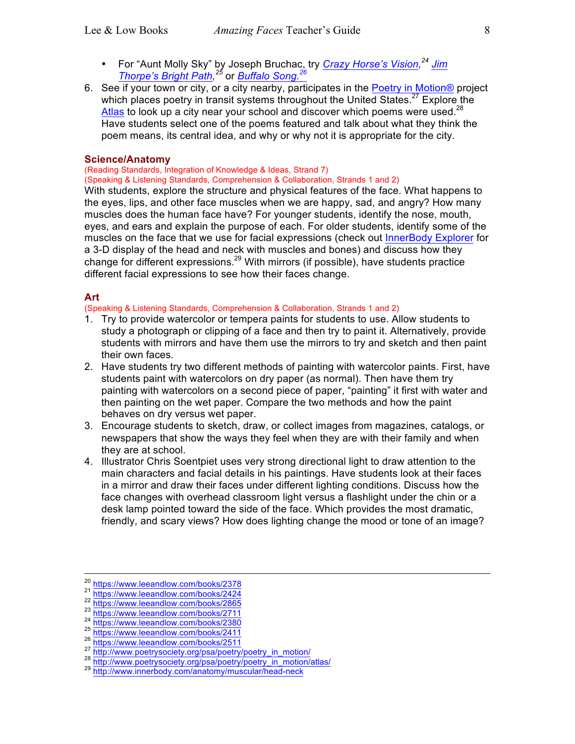- For "Aunt Molly Sky" by Joseph Bruchac, try *Crazy Horse's Vision, <sup>24</sup> Jim Thorpe's Bright Path, <sup>25</sup>* or *Buffalo Song. 26*
- 6. See if your town or city, or a city nearby, participates in the Poetry in Motion® project which places poetry in transit systems throughout the United States. $27$  Explore the Atlas to look up a city near your school and discover which poems were used.<sup>28</sup> Have students select one of the poems featured and talk about what they think the poem means, its central idea, and why or why not it is appropriate for the city.

#### **Science/Anatomy**

# (Reading Standards, Integration of Knowledge & Ideas, Strand 7)

(Speaking & Listening Standards, Comprehension & Collaboration, Strands 1 and 2)

With students, explore the structure and physical features of the face. What happens to the eyes, lips, and other face muscles when we are happy, sad, and angry? How many muscles does the human face have? For younger students, identify the nose, mouth, eyes, and ears and explain the purpose of each. For older students, identify some of the muscles on the face that we use for facial expressions (check out InnerBody Explorer for a 3-D display of the head and neck with muscles and bones) and discuss how they change for different expressions.<sup>29</sup> With mirrors (if possible), have students practice different facial expressions to see how their faces change.

## **Art**

(Speaking & Listening Standards, Comprehension & Collaboration, Strands 1 and 2)

- 1. Try to provide watercolor or tempera paints for students to use. Allow students to study a photograph or clipping of a face and then try to paint it. Alternatively, provide students with mirrors and have them use the mirrors to try and sketch and then paint their own faces.
- 2. Have students try two different methods of painting with watercolor paints. First, have students paint with watercolors on dry paper (as normal). Then have them try painting with watercolors on a second piece of paper, "painting" it first with water and then painting on the wet paper. Compare the two methods and how the paint behaves on dry versus wet paper.
- 3. Encourage students to sketch, draw, or collect images from magazines, catalogs, or newspapers that show the ways they feel when they are with their family and when they are at school.
- 4. Illustrator Chris Soentpiet uses very strong directional light to draw attention to the main characters and facial details in his paintings. Have students look at their faces in a mirror and draw their faces under different lighting conditions. Discuss how the face changes with overhead classroom light versus a flashlight under the chin or a desk lamp pointed toward the side of the face. Which provides the most dramatic, friendly, and scary views? How does lighting change the mood or tone of an image?

<sup>20</sup><br>
https://www.leeandlow.com/books/2378<br>
<sup>21</sup> https://www.leeandlow.com/books/2424<br>
<sup>22</sup> https://www.leeandlow.com/books/2865<br>
<sup>23</sup> https://www.leeandlow.com/books/2711<br>
<sup>24</sup> https://www.leeandlow.com/books/2380<br>
<sup>25</sup> h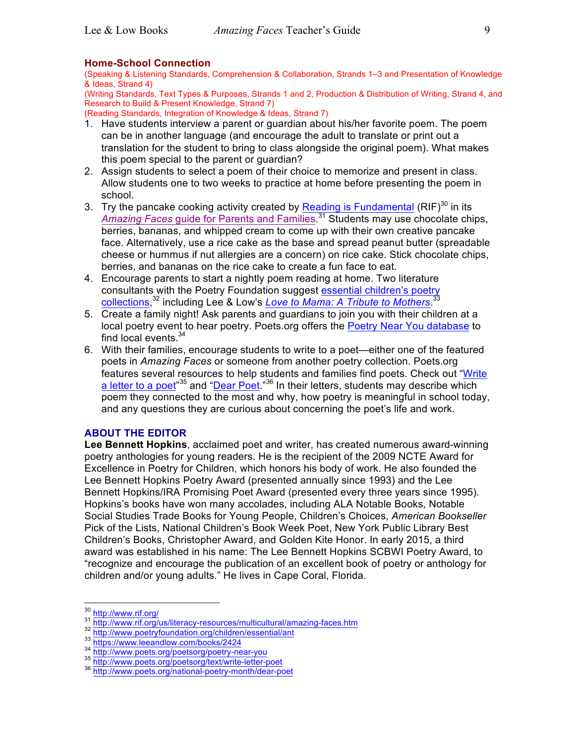## **Home-School Connection**

(Speaking & Listening Standards, Comprehension & Collaboration, Strands 1–3 and Presentation of Knowledge & Ideas, Strand 4)

(Writing Standards, Text Types & Purposes, Strands 1 and 2, Production & Distribution of Writing, Strand 4, and Research to Build & Present Knowledge, Strand 7)

(Reading Standards, Integration of Knowledge & Ideas, Strand 7)

- 1. Have students interview a parent or guardian about his/her favorite poem. The poem can be in another language (and encourage the adult to translate or print out a translation for the student to bring to class alongside the original poem). What makes this poem special to the parent or guardian?
- 2. Assign students to select a poem of their choice to memorize and present in class. Allow students one to two weeks to practice at home before presenting the poem in school.
- 3. Try the pancake cooking activity created by Reading is Fundamental  $(RIF)^{30}$  in its *Amazing Faces* guide for Parents and Families. <sup>31</sup> Students may use chocolate chips, berries, bananas, and whipped cream to come up with their own creative pancake face. Alternatively, use a rice cake as the base and spread peanut butter (spreadable cheese or hummus if nut allergies are a concern) on rice cake. Stick chocolate chips, berries, and bananas on the rice cake to create a fun face to eat.
- 4. Encourage parents to start a nightly poem reading at home. Two literature consultants with the Poetry Foundation suggest essential children's poetry collections, <sup>32</sup> including Lee & Low's *Love to Mama: A Tribute to Mothers*. 33
- 5. Create a family night! Ask parents and guardians to join you with their children at a local poetry event to hear poetry. Poets.org offers the Poetry Near You database to find local events. $34$
- 6. With their families, encourage students to write to a poet—either one of the featured poets in *Amazing Faces* or someone from another poetry collection. Poets.org features several resources to help students and families find poets. Check out "Write a letter to a poet"<sup>35</sup> and "Dear Poet."<sup>36</sup> In their letters, students may describe which poem they connected to the most and why, how poetry is meaningful in school today, and any questions they are curious about concerning the poet's life and work.

## **ABOUT THE EDITOR**

**Lee Bennett Hopkins**, acclaimed poet and writer, has created numerous award-winning poetry anthologies for young readers. He is the recipient of the 2009 NCTE Award for Excellence in Poetry for Children, which honors his body of work. He also founded the Lee Bennett Hopkins Poetry Award (presented annually since 1993) and the Lee Bennett Hopkins/IRA Promising Poet Award (presented every three years since 1995). Hopkins's books have won many accolades, including ALA Notable Books, Notable Social Studies Trade Books for Young People, Children's Choices, *American Bookseller* Pick of the Lists, National Children's Book Week Poet, New York Public Library Best Children's Books, Christopher Award, and Golden Kite Honor. In early 2015, a third award was established in his name: The Lee Bennett Hopkins SCBWI Poetry Award, to "recognize and encourage the publication of an excellent book of poetry or anthology for children and/or young adults." He lives in Cape Coral, Florida.

<sup>30&</sup>lt;br>http://www.rif.org/us/literacy-resources/multicultural/amazing-faces.htm<br>32<br>http://www.poetryfoundation.org/children/essential/ant<br>33<br>http://www.poetryfoundation.org/children/essential/ant<br>34<br>http://www.poets.org/poetso